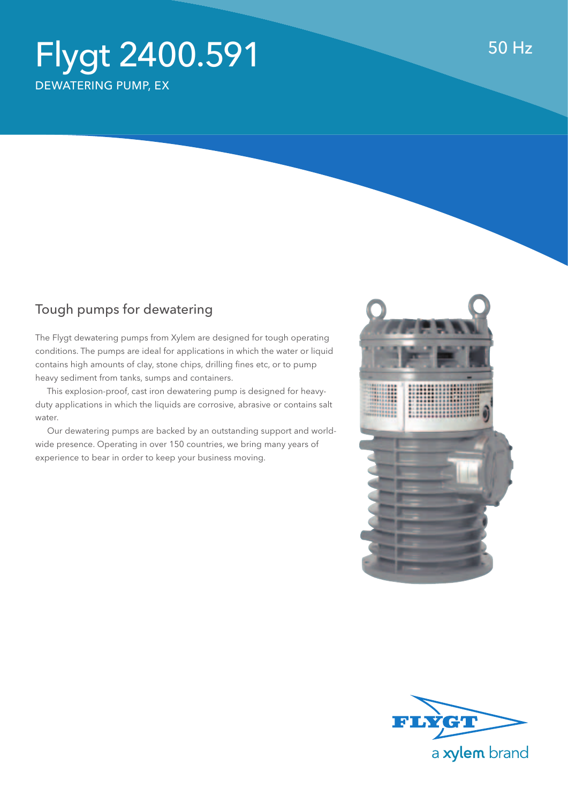## Flygt 2400.591 dewatering pumP, Ex

## Tough pumps for dewatering

The Flygt dewatering pumps from Xylem are designed for tough operating conditions. The pumps are ideal for applications in which the water or liquid contains high amounts of clay, stone chips, drilling fines etc, or to pump heavy sediment from tanks, sumps and containers.

 This explosion-proof, cast iron dewatering pump is designed for heavyduty applications in which the liquids are corrosive, abrasive or contains salt water.

 Our dewatering pumps are backed by an outstanding support and worldwide presence. Operating in over 150 countries, we bring many years of experience to bear in order to keep your business moving.